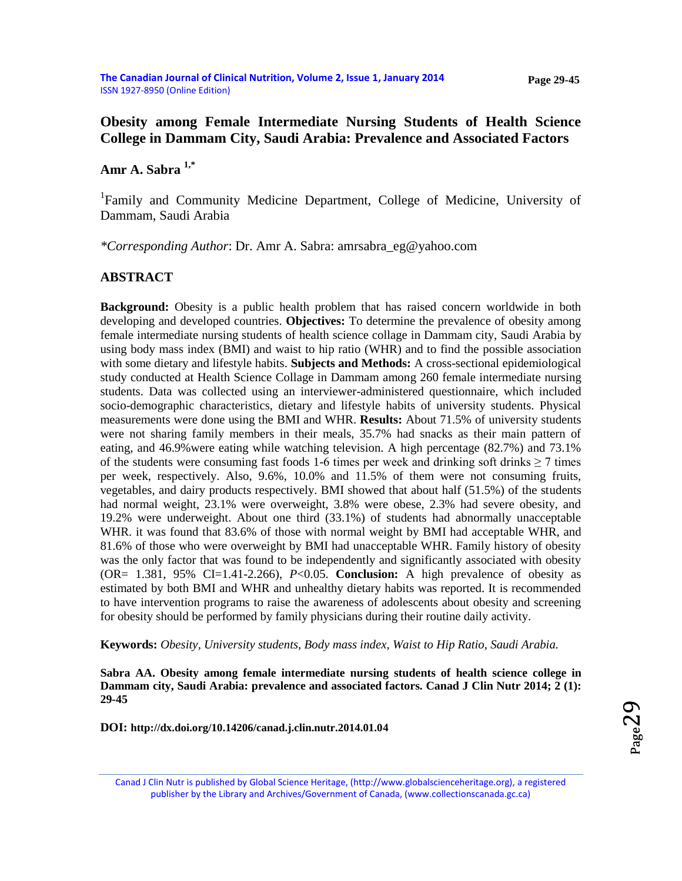#### **Page 29-45**

## **Obesity among Female Intermediate Nursing Students of Health Science College in Dammam City, Saudi Arabia: Prevalence and Associated Factors**

**Amr A. Sabra 1,\***

<sup>1</sup>Family and Community Medicine Department, College of Medicine, University of Dammam, Saudi Arabia

*\*Corresponding Author*: Dr. Amr A. Sabra: amrsabra\_eg@yahoo.com

#### **ABSTRACT**

**Background:** Obesity is a public health problem that has raised concern worldwide in both developing and developed countries. **Objectives:** To determine the prevalence of obesity among female intermediate nursing students of health science collage in Dammam city, Saudi Arabia by using body mass index (BMI) and waist to hip ratio (WHR) and to find the possible association with some dietary and lifestyle habits. **Subjects and Methods:** A cross-sectional epidemiological study conducted at Health Science Collage in Dammam among 260 female intermediate nursing students. Data was collected using an interviewer-administered questionnaire, which included socio-demographic characteristics, dietary and lifestyle habits of university students. Physical measurements were done using the BMI and WHR. **Results:** About 71.5% of university students were not sharing family members in their meals, 35.7% had snacks as their main pattern of eating, and 46.9%were eating while watching television. A high percentage (82.7%) and 73.1% of the students were consuming fast foods 1-6 times per week and drinking soft drinks  $\geq 7$  times per week, respectively. Also, 9.6%, 10.0% and 11.5% of them were not consuming fruits, vegetables, and dairy products respectively. BMI showed that about half (51.5%) of the students had normal weight, 23.1% were overweight, 3.8% were obese, 2.3% had severe obesity, and 19.2% were underweight. About one third (33.1%) of students had abnormally unacceptable WHR. it was found that 83.6% of those with normal weight by BMI had acceptable WHR, and 81.6% of those who were overweight by BMI had unacceptable WHR. Family history of obesity was the only factor that was found to be independently and significantly associated with obesity (OR= 1.381, 95% CI=1.41-2.266), *P*<0.05. **Conclusion:** A high prevalence of obesity as estimated by both BMI and WHR and unhealthy dietary habits was reported. It is recommended to have intervention programs to raise the awareness of adolescents about obesity and screening for obesity should be performed by family physicians during their routine daily activity.

**Keywords:** *Obesity, University students, Body mass index, Waist to Hip Ratio, Saudi Arabia.*

**Sabra AA. Obesity among female intermediate nursing students of health science college in Dammam city, Saudi Arabia: prevalence and associated factors. Canad J Clin Nutr 2014; 2 (1): 29-45**

**DOI: [http://dx.doi.org/10.14206/canad.j.clin.nutr.2014.01.04](http://dx.doi.org/10.14206/canad.j.clin.nutr.2014.01.03)**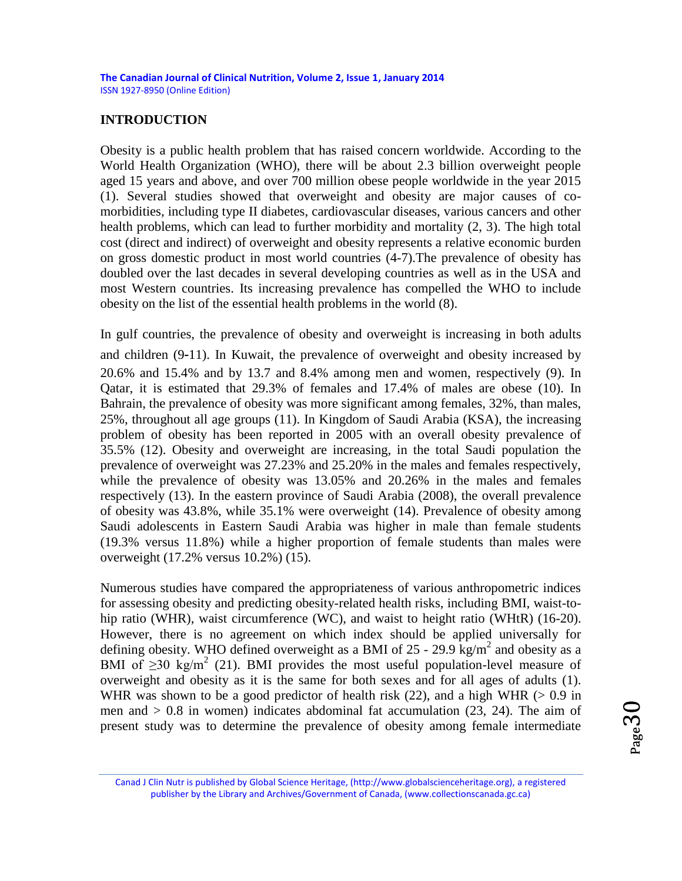#### **INTRODUCTION**

Obesity is a public health problem that has raised concern worldwide. According to the World Health Organization (WHO), there will be about 2.3 billion overweight people aged 15 years and above, and over 700 million obese people worldwide in the year 2015 (1). Several studies showed that overweight and obesity are major causes of comorbidities, including type II diabetes, cardiovascular diseases, various cancers and other health problems, which can lead to further morbidity and mortality (2, 3). The high total cost (direct and indirect) of overweight and obesity represents a relative economic burden on gross domestic product in most world countries (4-7).The prevalence of obesity has doubled over the last decades in several developing countries as well as in the USA and most Western countries. Its increasing prevalence has compelled the WHO to include obesity on the list of the essential health problems in the world (8).

In gulf countries, the prevalence of obesity and overweight is increasing in both adults and children (9‑11). In Kuwait, the prevalence of overweight and obesity increased by 20.6% and 15.4% and by 13.7 and 8.4% among men and women, respectively (9). In Qatar, it is estimated that 29.3% of females and 17.4% of males are obese (10). In Bahrain, the prevalence of obesity was more significant among females, 32%, than males, 25%, throughout all age groups (11). In Kingdom of Saudi Arabia (KSA), the increasing problem of obesity has been reported in 2005 with an overall obesity prevalence of 35.5% (12). Obesity and overweight are increasing, in the total Saudi population the prevalence of overweight was 27.23% and 25.20% in the males and females respectively, while the prevalence of obesity was 13.05% and 20.26% in the males and females respectively (13). In the eastern province of Saudi Arabia (2008), the overall prevalence of obesity was 43.8%, while 35.1% were overweight (14). Prevalence of obesity among Saudi adolescents in Eastern Saudi Arabia was higher in male than female students (19.3% versus 11.8%) while a higher proportion of female students than males were overweight (17.2% versus 10.2%) (15).

Numerous studies have compared the appropriateness of various anthropometric indices for assessing obesity and predicting obesity-related health risks, including BMI, waist-tohip ratio (WHR), waist circumference (WC), and waist to height ratio (WHtR) (16-20). However, there is no agreement on which index should be applied universally for defining obesity. WHO defined overweight as a BMI of 25 - 29.9 kg/m<sup>2</sup> and obesity as a BMI of  $\geq$ 30 kg/m<sup>2</sup> (21). BMI provides the most useful population-level measure of overweight and obesity as it is the same for both sexes and for all ages of adults (1). WHR was shown to be a good predictor of health risk  $(22)$ , and a high WHR ( $> 0.9$  in men and  $> 0.8$  in women) indicates abdominal fat accumulation (23, 24). The aim of present study was to determine the prevalence of obesity among female intermediate

Page30

Canad J Clin Nutr is published by Global Science Heritage, (http://www.globalscienceheritage.org), a registered publisher by the Library and Archives/Government of Canada, (www.collectionscanada.gc.ca)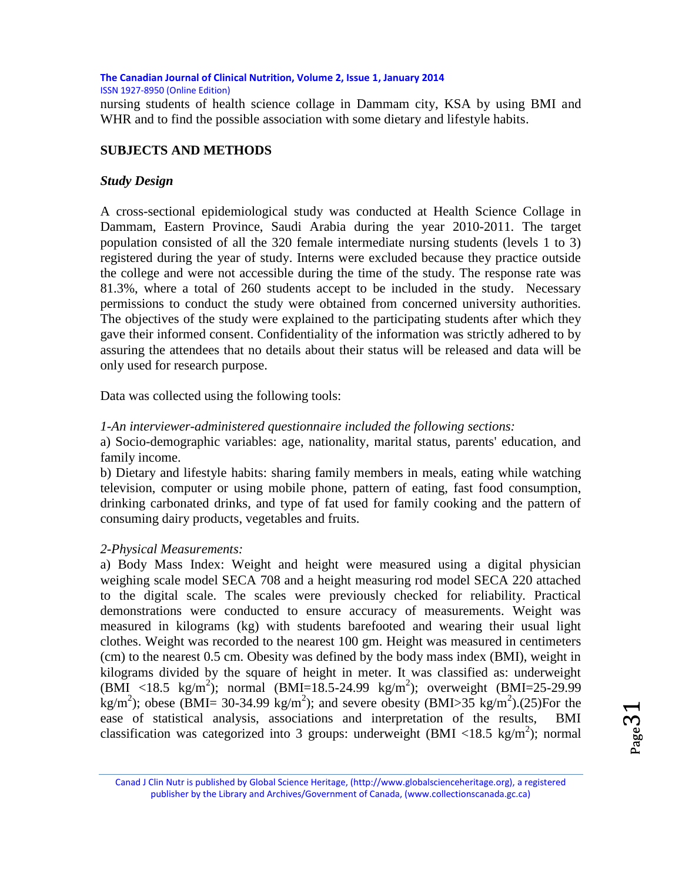nursing students of health science collage in Dammam city, KSA by using BMI and WHR and to find the possible association with some dietary and lifestyle habits.

## **SUBJECTS AND METHODS**

#### *Study Design*

A cross-sectional epidemiological study was conducted at Health Science Collage in Dammam, Eastern Province, Saudi Arabia during the year 2010-2011. The target population consisted of all the 320 female intermediate nursing students (levels 1 to 3) registered during the year of study. Interns were excluded because they practice outside the college and were not accessible during the time of the study. The response rate was 81.3%, where a total of 260 students accept to be included in the study. Necessary permissions to conduct the study were obtained from concerned university authorities. The objectives of the study were explained to the participating students after which they gave their informed consent. Confidentiality of the information was strictly adhered to by assuring the attendees that no details about their status will be released and data will be only used for research purpose.

Data was collected using the following tools:

#### *1-An interviewer-administered questionnaire included the following sections:*

a) Socio-demographic variables: age, nationality, marital status, parents' education, and family income.

b) Dietary and lifestyle habits: sharing family members in meals, eating while watching television, computer or using mobile phone, pattern of eating, fast food consumption, drinking carbonated drinks, and type of fat used for family cooking and the pattern of consuming dairy products, vegetables and fruits.

## *2-Physical Measurements:*

a) Body Mass Index: Weight and height were measured using a digital physician weighing scale model SECA 708 and a height measuring rod model SECA 220 attached to the digital scale. The scales were previously checked for reliability. Practical demonstrations were conducted to ensure accuracy of measurements. Weight was measured in kilograms (kg) with students barefooted and wearing their usual light clothes. Weight was recorded to the nearest 100 gm. Height was measured in centimeters (cm) to the nearest 0.5 cm. Obesity was defined by the body mass index (BMI), weight in kilograms divided by the square of height in meter. It was classified as: underweight (BMI <18.5 kg/m<sup>2</sup>); normal (BMI=18.5-24.99 kg/m<sup>2</sup>); overweight (BMI=25-29.99 kg/m<sup>2</sup>); obese (BMI= 30-34.99 kg/m<sup>2</sup>); and severe obesity (BMI>35 kg/m<sup>2</sup>).(25)For the ease of statistical analysis, associations and interpretation of the results, BMI classification was categorized into 3 groups: underweight (BMI <18.5 kg/m<sup>2</sup>); normal

Canad J Clin Nutr is published by Global Science Heritage, (http://www.globalscienceheritage.org), a registered publisher by the Library and Archives/Government of Canada, (www.collectionscanada.gc.ca)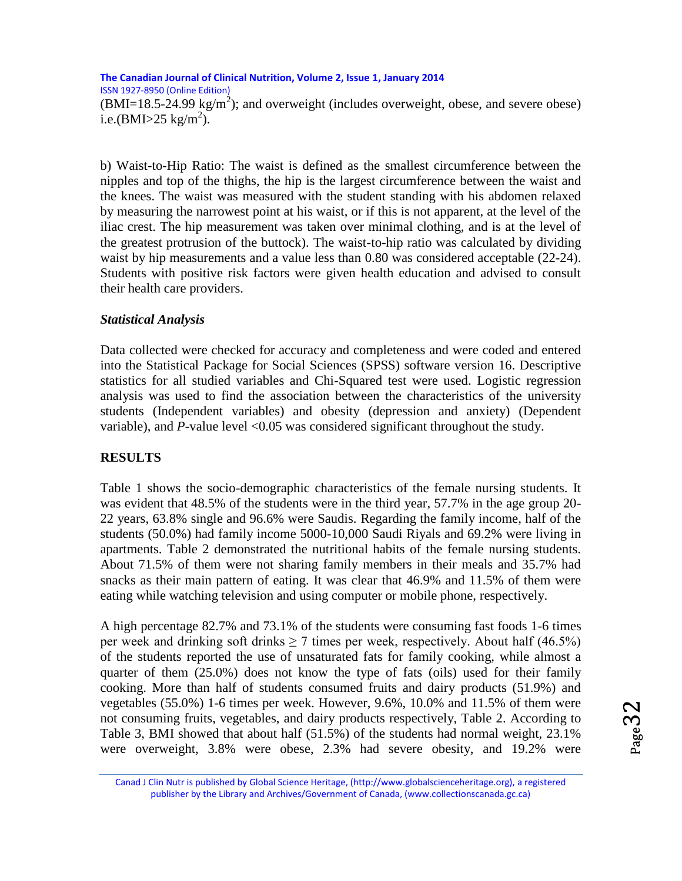$(BMI=18.5-24.99 \text{ kg/m}^2)$ ; and overweight (includes overweight, obese, and severe obese) i.e.(BMI>25 kg/m<sup>2</sup>).

b) Waist-to-Hip Ratio: The waist is defined as the smallest circumference between the nipples and top of the thighs, the hip is the largest circumference between the waist and the knees. The waist was measured with the student standing with his abdomen relaxed by measuring the narrowest point at his waist, or if this is not apparent, at the level of the iliac crest. The hip measurement was taken over minimal clothing, and is at the level of the greatest protrusion of the buttock). The waist-to-hip ratio was calculated by dividing waist by hip measurements and a value less than 0.80 was considered acceptable (22-24). Students with positive risk factors were given health education and advised to consult their health care providers.

#### *Statistical Analysis*

Data collected were checked for accuracy and completeness and were coded and entered into the Statistical Package for Social Sciences (SPSS) software version 16. Descriptive statistics for all studied variables and Chi-Squared test were used. Logistic regression analysis was used to find the association between the characteristics of the university students (Independent variables) and obesity (depression and anxiety) (Dependent variable), and *P*-value level <0.05 was considered significant throughout the study.

#### **RESULTS**

Table 1 shows the socio-demographic characteristics of the female nursing students. It was evident that 48.5% of the students were in the third year, 57.7% in the age group 20- 22 years, 63.8% single and 96.6% were Saudis. Regarding the family income, half of the students (50.0%) had family income 5000-10,000 Saudi Riyals and 69.2% were living in apartments. Table 2 demonstrated the nutritional habits of the female nursing students. About 71.5% of them were not sharing family members in their meals and 35.7% had snacks as their main pattern of eating. It was clear that 46.9% and 11.5% of them were eating while watching television and using computer or mobile phone, respectively.

A high percentage 82.7% and 73.1% of the students were consuming fast foods 1-6 times per week and drinking soft drinks  $\geq 7$  times per week, respectively. About half (46.5%) of the students reported the use of unsaturated fats for family cooking, while almost a quarter of them (25.0%) does not know the type of fats (oils) used for their family cooking. More than half of students consumed fruits and dairy products (51.9%) and vegetables (55.0%) 1-6 times per week. However, 9.6%, 10.0% and 11.5% of them were not consuming fruits, vegetables, and dairy products respectively, Table 2. According to Table 3, BMI showed that about half (51.5%) of the students had normal weight, 23.1% were overweight, 3.8% were obese, 2.3% had severe obesity, and 19.2% were

Canad J Clin Nutr is published by Global Science Heritage, (http://www.globalscienceheritage.org), a registered publisher by the Library and Archives/Government of Canada, (www.collectionscanada.gc.ca)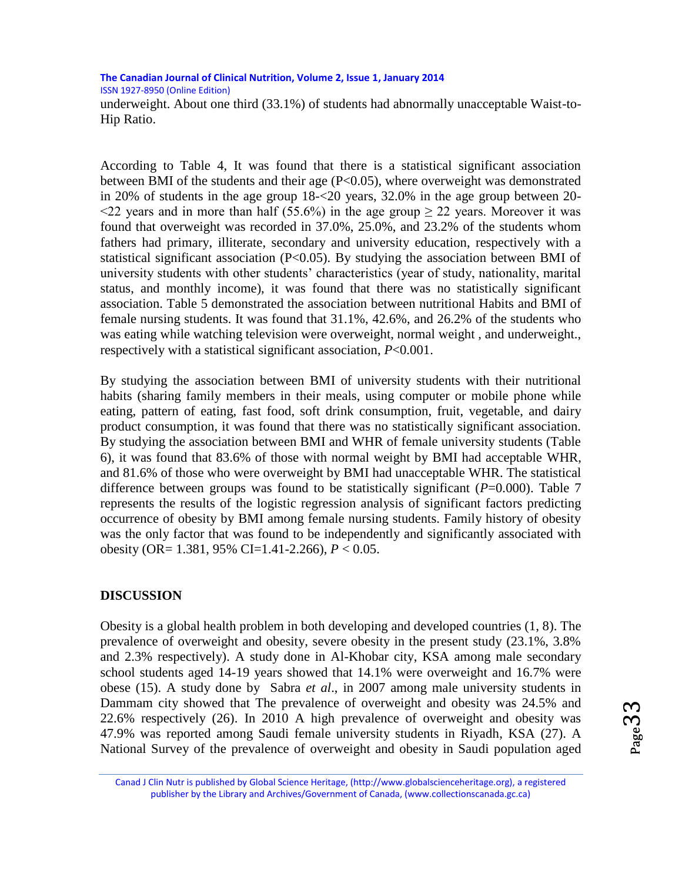underweight. About one third (33.1%) of students had abnormally unacceptable Waist-to-Hip Ratio.

According to Table 4, It was found that there is a statistical significant association between BMI of the students and their age (P<0.05), where overweight was demonstrated in 20% of students in the age group 18-<20 years, 32.0% in the age group between 20-  $\leq$ 22 years and in more than half (55.6%) in the age group  $\geq$  22 years. Moreover it was found that overweight was recorded in 37.0%, 25.0%, and 23.2% of the students whom fathers had primary, illiterate, secondary and university education, respectively with a statistical significant association  $(P<0.05)$ . By studying the association between BMI of university students with other students' characteristics (year of study, nationality, marital status, and monthly income), it was found that there was no statistically significant association. Table 5 demonstrated the association between nutritional Habits and BMI of female nursing students. It was found that 31.1%, 42.6%, and 26.2% of the students who was eating while watching television were overweight, normal weight , and underweight., respectively with a statistical significant association, *P*<0.001.

By studying the association between BMI of university students with their nutritional habits (sharing family members in their meals, using computer or mobile phone while eating, pattern of eating, fast food, soft drink consumption, fruit, vegetable, and dairy product consumption, it was found that there was no statistically significant association. By studying the association between BMI and WHR of female university students (Table 6), it was found that 83.6% of those with normal weight by BMI had acceptable WHR, and 81.6% of those who were overweight by BMI had unacceptable WHR. The statistical difference between groups was found to be statistically significant  $(P=0.000)$ . Table 7 represents the results of the logistic regression analysis of significant factors predicting occurrence of obesity by BMI among female nursing students. Family history of obesity was the only factor that was found to be independently and significantly associated with obesity (OR= 1.381, 95% CI=1.41-2.266), *P* < 0.05.

## **DISCUSSION**

Obesity is a global health problem in both developing and developed countries (1, 8). The prevalence of overweight and obesity, severe obesity in the present study (23.1%, 3.8% and 2.3% respectively). A study done in Al-Khobar city, KSA among male secondary school students aged 14-19 years showed that 14.1% were overweight and 16.7% were obese (15). A study done by Sabra *et al*., in 2007 among male university students in Dammam city showed that The prevalence of overweight and obesity was 24.5% and 22.6% respectively (26). In 2010 A high prevalence of overweight and obesity was 47.9% was reported among Saudi female university students in Riyadh, KSA (27). A National Survey of the prevalence of overweight and obesity in Saudi population aged

Canad J Clin Nutr is published by Global Science Heritage, (http://www.globalscienceheritage.org), a registered publisher by the Library and Archives/Government of Canada, (www.collectionscanada.gc.ca)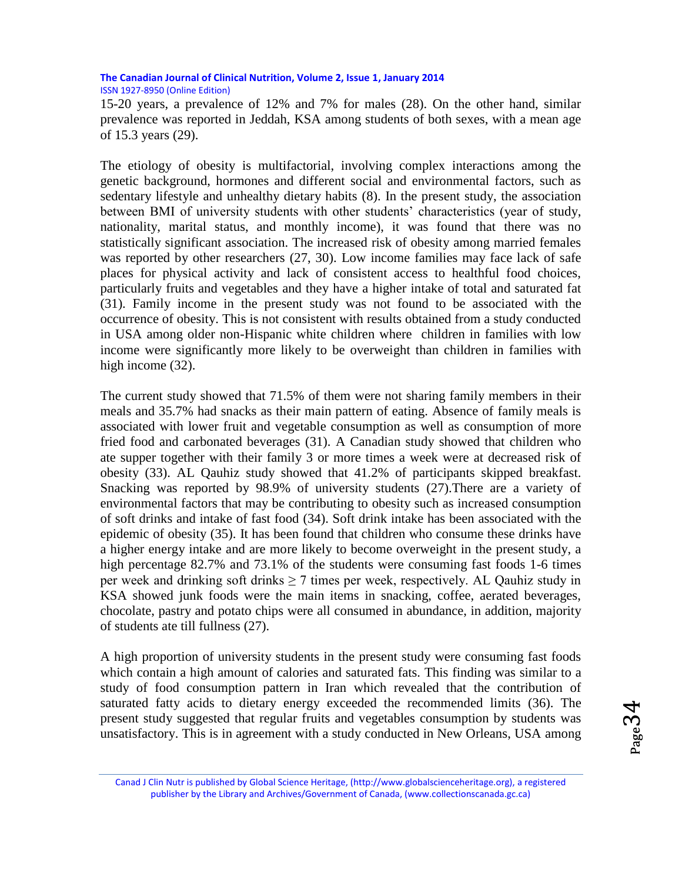15-20 years, a prevalence of 12% and 7% for males (28). On the other hand, similar prevalence was reported in Jeddah, KSA among students of both sexes, with a mean age of 15.3 years (29).

The etiology of obesity is multifactorial, involving complex interactions among the genetic background, hormones and different social and environmental factors, such as sedentary lifestyle and unhealthy dietary habits (8). In the present study, the association between BMI of university students with other students' characteristics (year of study, nationality, marital status, and monthly income), it was found that there was no statistically significant association. The increased risk of obesity among married females was reported by other researchers (27, 30). Low income families may face lack of safe places for physical activity and lack of consistent access to healthful food choices, particularly fruits and vegetables and they have a higher intake of total and saturated fat (31). Family income in the present study was not found to be associated with the occurrence of obesity. This is not consistent with results obtained from a study conducted in USA among older non-Hispanic white children where children in families with low income were significantly more likely to be overweight than children in families with high income  $(32)$ .

The current study showed that 71.5% of them were not sharing family members in their meals and 35.7% had snacks as their main pattern of eating. Absence of family meals is associated with lower fruit and vegetable consumption as well as consumption of more fried food and carbonated beverages (31). A Canadian study showed that children who ate supper together with their family 3 or more times a week were at decreased risk of obesity (33). AL Qauhiz study showed that 41.2% of participants skipped breakfast. Snacking was reported by 98.9% of university students (27).There are a variety of environmental factors that may be contributing to obesity such as increased consumption of soft drinks and intake of fast food (34). Soft drink intake has been associated with the epidemic of obesity (35). It has been found that children who consume these drinks have a higher energy intake and are more likely to become overweight in the present study, a high percentage 82.7% and 73.1% of the students were consuming fast foods 1-6 times per week and drinking soft drinks  $\geq 7$  times per week, respectively. AL Qauhiz study in KSA showed junk foods were the main items in snacking, coffee, aerated beverages, chocolate, pastry and potato chips were all consumed in abundance, in addition, majority of students ate till fullness (27).

A high proportion of university students in the present study were consuming fast foods which contain a high amount of calories and saturated fats. This finding was similar to a study of food consumption pattern in Iran which revealed that the contribution of saturated fatty acids to dietary energy exceeded the recommended limits (36). The present study suggested that regular fruits and vegetables consumption by students was unsatisfactory. This is in agreement with a study conducted in New Orleans, USA among

Canad J Clin Nutr is published by Global Science Heritage, (http://www.globalscienceheritage.org), a registered publisher by the Library and Archives/Government of Canada, (www.collectionscanada.gc.ca)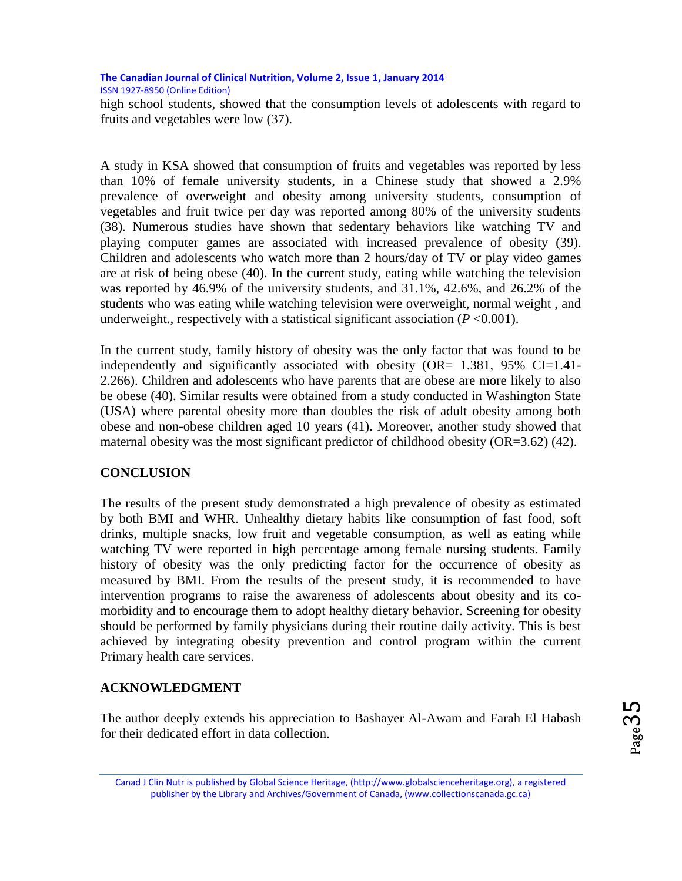high school students, showed that the consumption levels of adolescents with regard to fruits and vegetables were low (37).

A study in KSA showed that consumption of fruits and vegetables was reported by less than 10% of female university students, in a Chinese study that showed a 2.9% prevalence of overweight and obesity among university students, consumption of vegetables and fruit twice per day was reported among 80% of the university students (38). Numerous studies have shown that sedentary behaviors like watching TV and playing computer games are associated with increased prevalence of obesity (39). Children and adolescents who watch more than 2 hours/day of TV or play video games are at risk of being obese (40). In the current study, eating while watching the television was reported by 46.9% of the university students, and 31.1%, 42.6%, and 26.2% of the students who was eating while watching television were overweight, normal weight , and underweight., respectively with a statistical significant association  $(P \le 0.001)$ .

In the current study, family history of obesity was the only factor that was found to be independently and significantly associated with obesity (OR= 1.381, 95% CI=1.41- 2.266). Children and adolescents who have parents that are obese are more likely to also be obese (40). Similar results were obtained from a study conducted in Washington State (USA) where parental obesity more than doubles the risk of adult obesity among both obese and non-obese children aged 10 years (41). Moreover, another study showed that maternal obesity was the most significant predictor of childhood obesity  $(OR=3.62)$  (42).

## **CONCLUSION**

The results of the present study demonstrated a high prevalence of obesity as estimated by both BMI and WHR. Unhealthy dietary habits like consumption of fast food, soft drinks, multiple snacks, low fruit and vegetable consumption, as well as eating while watching TV were reported in high percentage among female nursing students. Family history of obesity was the only predicting factor for the occurrence of obesity as measured by BMI. From the results of the present study, it is recommended to have intervention programs to raise the awareness of adolescents about obesity and its comorbidity and to encourage them to adopt healthy dietary behavior. Screening for obesity should be performed by family physicians during their routine daily activity. This is best achieved by integrating obesity prevention and control program within the current Primary health care services.

#### **ACKNOWLEDGMENT**

The author deeply extends his appreciation to Bashayer Al-Awam and Farah El Habash for their dedicated effort in data collection.

Page35

Canad J Clin Nutr is published by Global Science Heritage, (http://www.globalscienceheritage.org), a registered publisher by the Library and Archives/Government of Canada, (www.collectionscanada.gc.ca)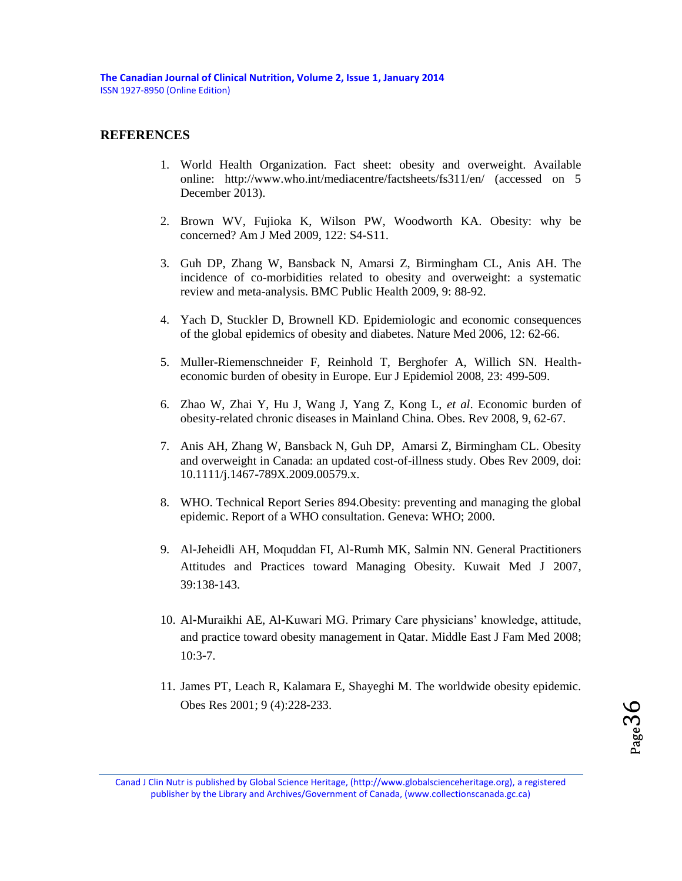#### **REFERENCES**

- 1. World Health Organization. Fact sheet: obesity and overweight. Available online: http://www.who.int/mediacentre/factsheets/fs311/en/ (accessed on 5 December 2013).
- 2. Brown WV, Fujioka K, Wilson PW, Woodworth KA. Obesity: why be concerned? Am J Med 2009, 122: S4-S11.
- 3. Guh DP, Zhang W, Bansback N, Amarsi Z, Birmingham CL, Anis AH. The incidence of co-morbidities related to obesity and overweight: a systematic review and meta-analysis. BMC Public Health 2009, 9: 88-92.
- 4. Yach D, Stuckler D, Brownell KD. Epidemiologic and economic consequences of the global epidemics of obesity and diabetes. Nature Med 2006, 12: 62-66.
- 5. Muller-Riemenschneider F, Reinhold T, Berghofer A, Willich SN. Healtheconomic burden of obesity in Europe. Eur J Epidemiol 2008, 23: 499-509.
- 6. Zhao W, Zhai Y, Hu J, Wang J, Yang Z, Kong L, *et al*. Economic burden of obesity-related chronic diseases in Mainland China. Obes. Rev 2008, 9, 62-67.
- 7. Anis AH, Zhang W, Bansback N, Guh DP, Amarsi Z, Birmingham CL. Obesity and overweight in Canada: an updated cost-of-illness study. Obes Rev 2009, doi: 10.1111/j.1467-789X.2009.00579.x.
- 8. WHO. Technical Report Series 894.Obesity: preventing and managing the global epidemic. Report of a WHO consultation. Geneva: WHO; 2000.
- 9. Al-Jeheidli AH, Moquddan FI, Al-Rumh MK, Salmin NN. General Practitioners Attitudes and Practices toward Managing Obesity. Kuwait Med J 2007, 39:138‑143.
- 10. Al‑Muraikhi AE, Al‑Kuwari MG. Primary Care physicians' knowledge, attitude, and practice toward obesity management in Qatar. Middle East J Fam Med 2008; 10:3‑7.
- 11. James PT, Leach R, Kalamara E, Shayeghi M. The worldwide obesity epidemic. Obes Res 2001; 9 (4):228‑233.

Canad J Clin Nutr is published by Global Science Heritage, (http://www.globalscienceheritage.org), a registered publisher by the Library and Archives/Government of Canada, (www.collectionscanada.gc.ca)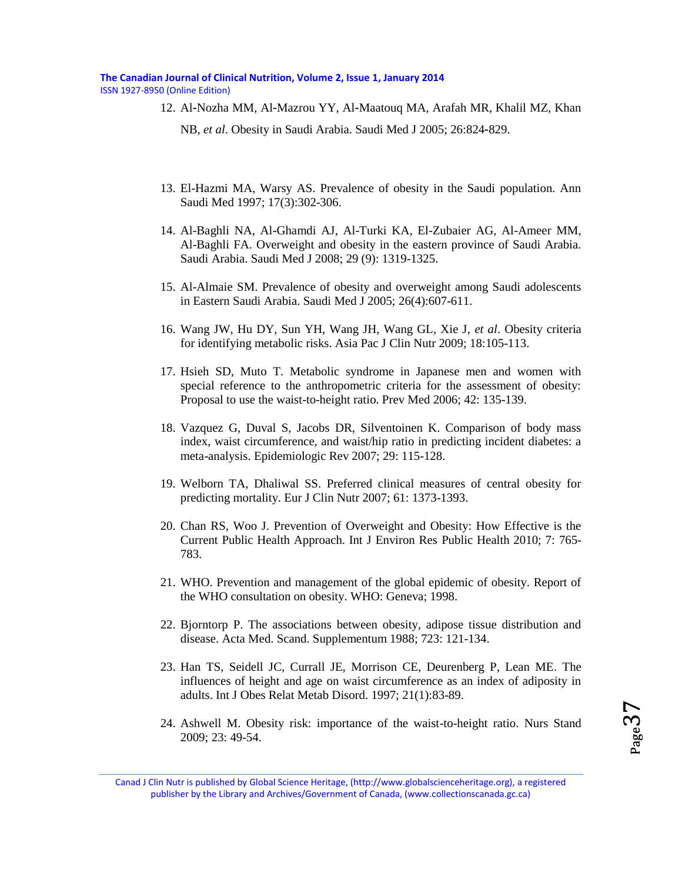#### **The Canadian Journal of Clinical Nutrition, Volume 2, Issue 1, January 2014**

ISSN 1927-8950 (Online Edition)

- 12. Al‑Nozha MM, Al‑Mazrou YY, Al‑Maatouq MA, Arafah MR, Khalil MZ, Khan NB, *et al*. Obesity in Saudi Arabia. Saudi Med J 2005; 26:824‑829.
- 13. El-Hazmi MA, Warsy AS. Prevalence of obesity in the Saudi population. Ann Saudi Med 1997; 17(3):302-306.
- 14. Al-Baghli NA, Al-Ghamdi AJ, Al-Turki KA, El-Zubaier AG, Al-Ameer MM, Al-Baghli FA. Overweight and obesity in the eastern province of Saudi Arabia. Saudi Arabia. Saudi Med J 2008; 29 (9): 1319-1325.
- 15. Al-Almaie SM. Prevalence of obesity and overweight among Saudi adolescents in Eastern Saudi Arabia. Saudi Med J 2005; 26(4):607-611.
- 16. Wang JW, Hu DY, Sun YH, Wang JH, Wang GL, Xie J, *et al*. Obesity criteria for identifying metabolic risks. Asia Pac J Clin Nutr 2009; 18:105-113.
- 17. Hsieh SD, Muto T. Metabolic syndrome in Japanese men and women with special reference to the anthropometric criteria for the assessment of obesity: Proposal to use the waist-to-height ratio. Prev Med 2006; 42: 135-139.
- 18. Vazquez G, Duval S, Jacobs DR, Silventoinen K. Comparison of body mass index, waist circumference, and waist/hip ratio in predicting incident diabetes: a meta-analysis. Epidemiologic Rev 2007; 29: 115-128.
- 19. Welborn TA, Dhaliwal SS. Preferred clinical measures of central obesity for predicting mortality. Eur J Clin Nutr 2007; 61: 1373-1393.
- 20. Chan RS, Woo J. Prevention of Overweight and Obesity: How Effective is the Current Public Health Approach. Int J Environ Res Public Health 2010; 7: 765- 783.
- 21. WHO. Prevention and management of the global epidemic of obesity. Report of the WHO consultation on obesity. WHO: Geneva; 1998.
- 22. Bjorntorp P. The associations between obesity, adipose tissue distribution and disease. Acta Med. Scand. Supplementum 1988; 723: 121-134.
- 23. Han TS, Seidell JC, Currall JE, Morrison CE, Deurenberg P, Lean ME. The influences of height and age on waist circumference as an index of adiposity in adults. Int J Obes Relat Metab Disord. 1997; 21(1):83-89.
- 24. Ashwell M. Obesity risk: importance of the waist-to-height ratio. Nurs Stand 2009; 23: 49-54.

Canad J Clin Nutr is published by Global Science Heritage, (http://www.globalscienceheritage.org), a registered publisher by the Library and Archives/Government of Canada, (www.collectionscanada.gc.ca)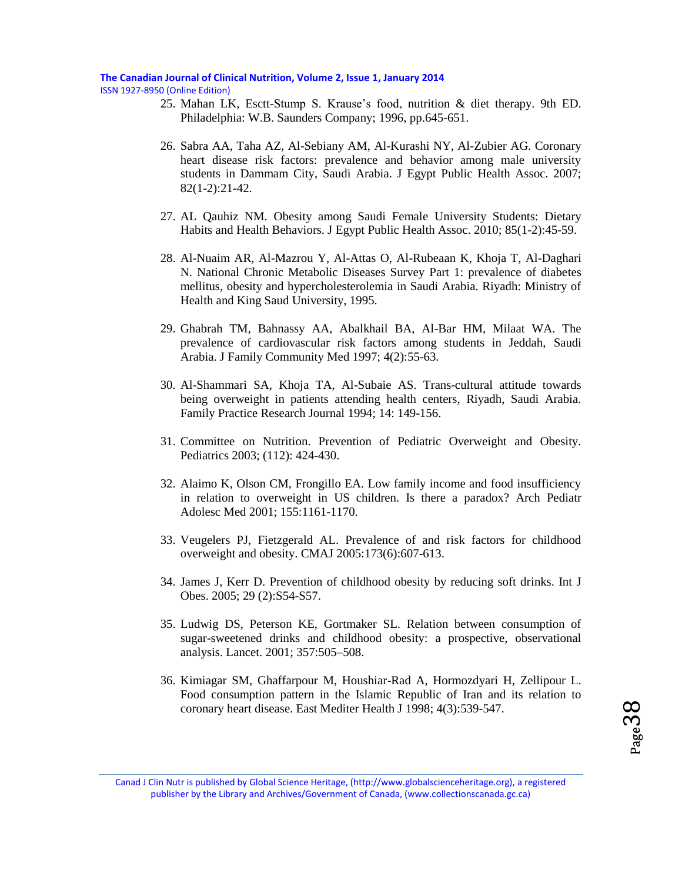#### **The Canadian Journal of Clinical Nutrition, Volume 2, Issue 1, January 2014**

ISSN 1927-8950 (Online Edition)

- 25. Mahan LK, Esctt-Stump S. Krause's food, nutrition & diet therapy. 9th ED. Philadelphia: W.B. Saunders Company; 1996, pp.645-651.
- 26. Sabra AA, Taha AZ, Al-Sebiany AM, Al-Kurashi NY, Al-Zubier AG. Coronary heart disease risk factors: prevalence and behavior among male university students in Dammam City, Saudi Arabia. J Egypt Public Health Assoc. 2007; 82(1-2):21-42.
- 27. AL Qauhiz NM. Obesity among Saudi Female University Students: Dietary Habits and Health Behaviors. J Egypt Public Health Assoc. 2010; 85(1-2):45-59.
- 28. Al-Nuaim AR, Al-Mazrou Y, Al-Attas O, Al-Rubeaan K, Khoja T, Al-Daghari N. National Chronic Metabolic Diseases Survey Part 1: prevalence of diabetes mellitus, obesity and hypercholesterolemia in Saudi Arabia. Riyadh: Ministry of Health and King Saud University, 1995.
- 29. Ghabrah TM, Bahnassy AA, Abalkhail BA, Al-Bar HM, Milaat WA. The prevalence of cardiovascular risk factors among students in Jeddah, Saudi Arabia. J Family Community Med 1997; 4(2):55-63.
- 30. Al-Shammari SA, Khoja TA, Al-Subaie AS. Trans-cultural attitude towards being overweight in patients attending health centers, Riyadh, Saudi Arabia. Family Practice Research Journal 1994; 14: 149-156.
- 31. Committee on Nutrition. Prevention of Pediatric Overweight and Obesity. Pediatrics 2003; (112): 424-430.
- 32. Alaimo K, Olson CM, Frongillo EA. Low family income and food insufficiency in relation to overweight in US children. Is there a paradox? Arch Pediatr Adolesc Med 2001; 155:1161-1170.
- 33. Veugelers PJ, Fietzgerald AL. Prevalence of and risk factors for childhood overweight and obesity. CMAJ 2005:173(6):607-613.
- 34. James J, Kerr D. Prevention of childhood obesity by reducing soft drinks. Int J Obes. 2005; 29 (2):S54-S57.
- 35. Ludwig DS, Peterson KE, Gortmaker SL. Relation between consumption of sugar-sweetened drinks and childhood obesity: a prospective, observational analysis. Lancet. 2001; 357:505–508.
- 36. Kimiagar SM, Ghaffarpour M, Houshiar-Rad A, Hormozdyari H, Zellipour L. Food consumption pattern in the Islamic Republic of Iran and its relation to coronary heart disease. East Mediter Health J 1998; 4(3):539-547.

Canad J Clin Nutr is published by Global Science Heritage, (http://www.globalscienceheritage.org), a registered publisher by the Library and Archives/Government of Canada, (www.collectionscanada.gc.ca)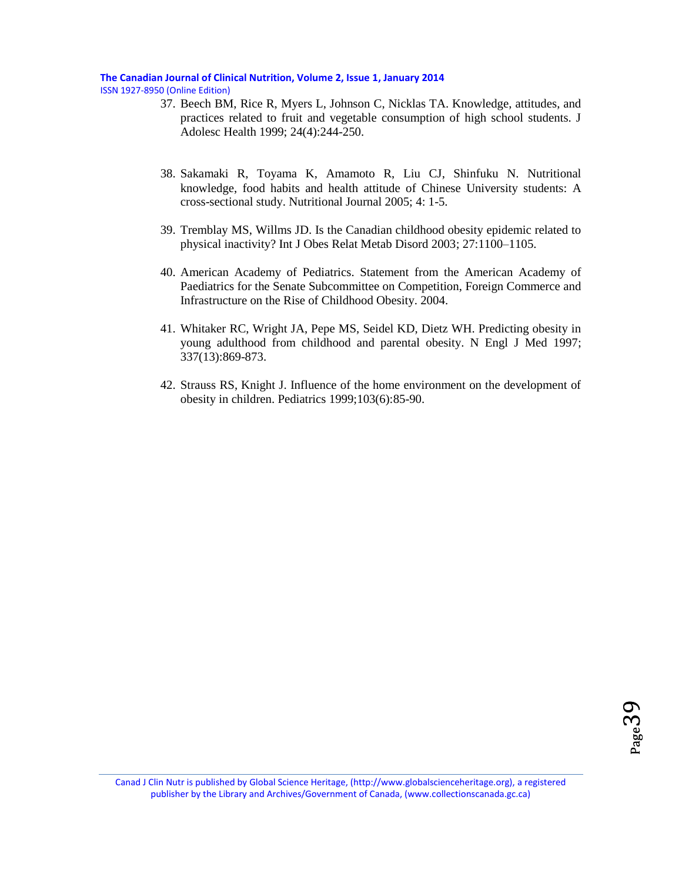#### **The Canadian Journal of Clinical Nutrition, Volume 2, Issue 1, January 2014**

ISSN 1927-8950 (Online Edition)

- 37. Beech BM, Rice R, Myers L, Johnson C, Nicklas TA. Knowledge, attitudes, and practices related to fruit and vegetable consumption of high school students. J Adolesc Health 1999; 24(4):244-250.
- 38. Sakamaki R, Toyama K, Amamoto R, Liu CJ, Shinfuku N. Nutritional knowledge, food habits and health attitude of Chinese University students: A cross-sectional study. Nutritional Journal 2005; 4: 1-5.
- 39. Tremblay MS, Willms JD. Is the Canadian childhood obesity epidemic related to physical inactivity? Int J Obes Relat Metab Disord 2003; 27:1100–1105.
- 40. American Academy of Pediatrics. Statement from the American Academy of Paediatrics for the Senate Subcommittee on Competition, Foreign Commerce and Infrastructure on the Rise of Childhood Obesity. 2004.
- 41. Whitaker RC, Wright JA, Pepe MS, Seidel KD, Dietz WH. Predicting obesity in young adulthood from childhood and parental obesity. N Engl J Med 1997; 337(13):869-873.
- 42. Strauss RS, Knight J. Influence of the home environment on the development of obesity in children. Pediatrics 1999;103(6):85-90.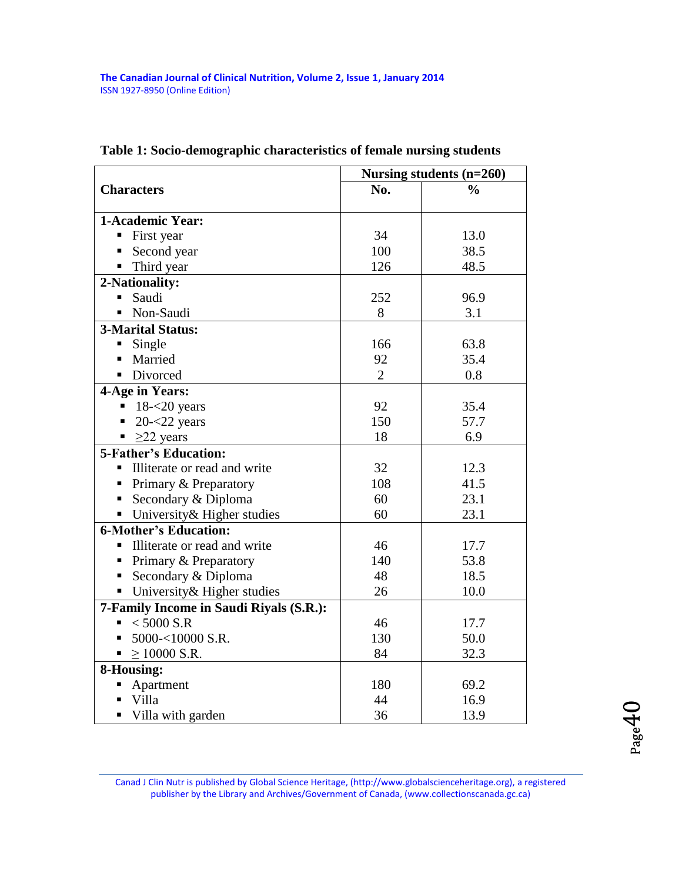|                                         | Nursing students (n=260) |               |  |  |  |  |
|-----------------------------------------|--------------------------|---------------|--|--|--|--|
| <b>Characters</b>                       | No.                      | $\frac{0}{0}$ |  |  |  |  |
| 1-Academic Year:                        |                          |               |  |  |  |  |
| First year                              | 34                       | 13.0          |  |  |  |  |
| Second year                             | 100                      | 38.5          |  |  |  |  |
| Third year<br>٠                         | 126                      | 48.5          |  |  |  |  |
| 2-Nationality:                          |                          |               |  |  |  |  |
| Saudi                                   | 252                      | 96.9          |  |  |  |  |
| Non-Saudi                               | 8                        | 3.1           |  |  |  |  |
| <b>3-Marital Status:</b>                |                          |               |  |  |  |  |
| Single                                  | 166                      | 63.8          |  |  |  |  |
| Married                                 | 92                       | 35.4          |  |  |  |  |
| Divorced                                | $\overline{2}$           | 0.8           |  |  |  |  |
| 4-Age in Years:                         |                          |               |  |  |  |  |
| $18 - 20$ years                         | 92                       | 35.4          |  |  |  |  |
| $20 - 22$ years                         | 150                      | 57.7          |  |  |  |  |
| $\geq$ 22 years<br>٠                    | 18                       | 6.9           |  |  |  |  |
| <b>5-Father's Education:</b>            |                          |               |  |  |  |  |
| Illiterate or read and write            | 32                       | 12.3          |  |  |  |  |
| Primary & Preparatory                   | 108                      | 41.5          |  |  |  |  |
| Secondary & Diploma                     | 60                       | 23.1          |  |  |  |  |
| • University & Higher studies           | 60                       | 23.1          |  |  |  |  |
| <b>6-Mother's Education:</b>            |                          |               |  |  |  |  |
| Illiterate or read and write            | 46                       | 17.7          |  |  |  |  |
| Primary & Preparatory                   | 140                      | 53.8          |  |  |  |  |
| Secondary & Diploma                     | 48                       | 18.5          |  |  |  |  |
| University & Higher studies<br>π.       | 26                       | 10.0          |  |  |  |  |
| 7-Family Income in Saudi Riyals (S.R.): |                          |               |  |  |  |  |
| $< 5000$ S.R                            | 46                       | 17.7          |  |  |  |  |
| 5000-<10000 S.R.                        | 130                      | 50.0          |  |  |  |  |
| $\geq$ 10000 S.R.                       | 84                       | 32.3          |  |  |  |  |
| 8-Housing:                              |                          |               |  |  |  |  |
| Apartment<br>٠                          | 180                      | 69.2          |  |  |  |  |
| Villa                                   | 44                       | 16.9          |  |  |  |  |
| Villa with garden                       | 36                       | 13.9          |  |  |  |  |

## **Table 1: Socio-demographic characteristics of female nursing students**

 $_{Page}40$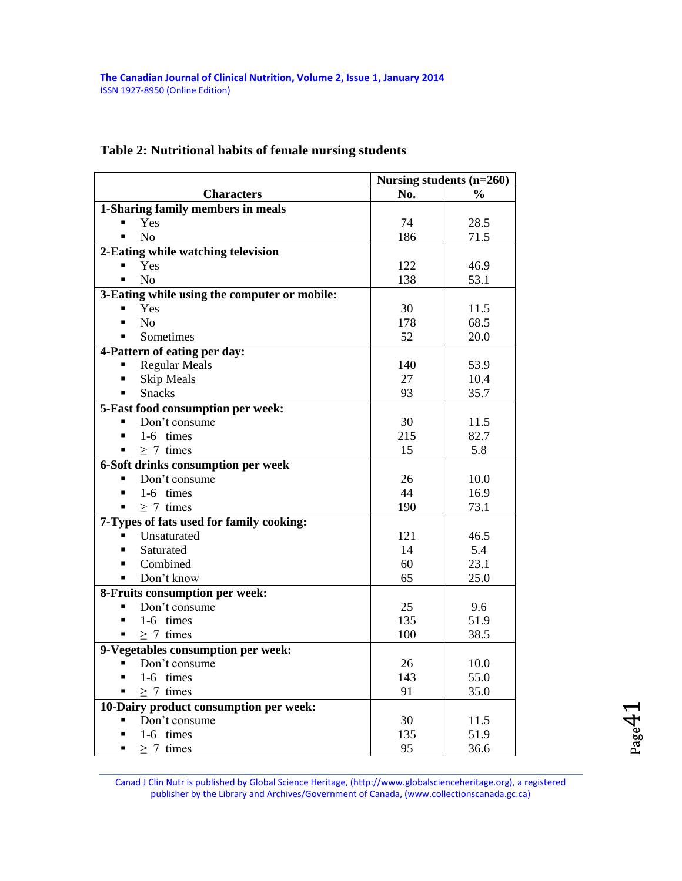## **Table 2: Nutritional habits of female nursing students**

|                                              | Nursing students $(n=260)$ |               |  |  |
|----------------------------------------------|----------------------------|---------------|--|--|
| <b>Characters</b>                            | No.                        | $\frac{1}{2}$ |  |  |
| 1-Sharing family members in meals            |                            |               |  |  |
| Yes                                          | 74                         | 28.5          |  |  |
| N <sub>o</sub>                               | 186                        | 71.5          |  |  |
| 2-Eating while watching television           |                            |               |  |  |
| Yes                                          | 122                        | 46.9          |  |  |
| N <sub>o</sub><br>$\blacksquare$             | 138                        | 53.1          |  |  |
| 3-Eating while using the computer or mobile: |                            |               |  |  |
| Yes                                          | 30                         | 11.5          |  |  |
| N <sub>o</sub>                               | 178                        | 68.5          |  |  |
| Sometimes                                    | 52                         | 20.0          |  |  |
| 4-Pattern of eating per day:                 |                            |               |  |  |
| <b>Regular Meals</b>                         | 140                        | 53.9          |  |  |
| Skip Meals                                   | 27                         | 10.4          |  |  |
| <b>Snacks</b>                                | 93                         | 35.7          |  |  |
| 5-Fast food consumption per week:            |                            |               |  |  |
| Don't consume                                | 30                         | 11.5          |  |  |
| 1-6 times                                    | 215                        | 82.7          |  |  |
| $\geq$ 7 times                               | 15                         | 5.8           |  |  |
| 6-Soft drinks consumption per week           |                            |               |  |  |
| Don't consume                                | 26                         | 10.0          |  |  |
| 1-6 times                                    | 44                         | 16.9          |  |  |
| $\geq$ 7 times                               | 190                        | 73.1          |  |  |
| 7-Types of fats used for family cooking:     |                            |               |  |  |
| Unsaturated                                  | 121                        | 46.5          |  |  |
| Saturated                                    | 14                         | 5.4           |  |  |
| Combined                                     | 60                         | 23.1          |  |  |
| Don't know                                   | 65                         | 25.0          |  |  |
| 8-Fruits consumption per week:               |                            |               |  |  |
| Don't consume<br>$\blacksquare$              | 25                         | 9.6           |  |  |
| 1-6 times<br>п                               | 135                        | 51.9          |  |  |
| $\geq 7$ times<br>П                          | 100                        | 38.5          |  |  |
| 9-Vegetables consumption per week:           |                            |               |  |  |
| Don't consume<br>■                           | 26                         | 10.0          |  |  |
| 1-6 times                                    | 143                        | 55.0          |  |  |
| $\geq 7$ times                               | 91                         | 35.0          |  |  |
| 10-Dairy product consumption per week:       |                            |               |  |  |
| Don't consume                                | 30                         | 11.5          |  |  |
| 1-6 times<br>П                               | 135                        | 51.9          |  |  |
| $> 7$ times<br>П                             | 95                         | 36.6          |  |  |

Canad J Clin Nutr is published by Global Science Heritage, (http://www.globalscienceheritage.org), a registered publisher by the Library and Archives/Government of Canada, (www.collectionscanada.gc.ca)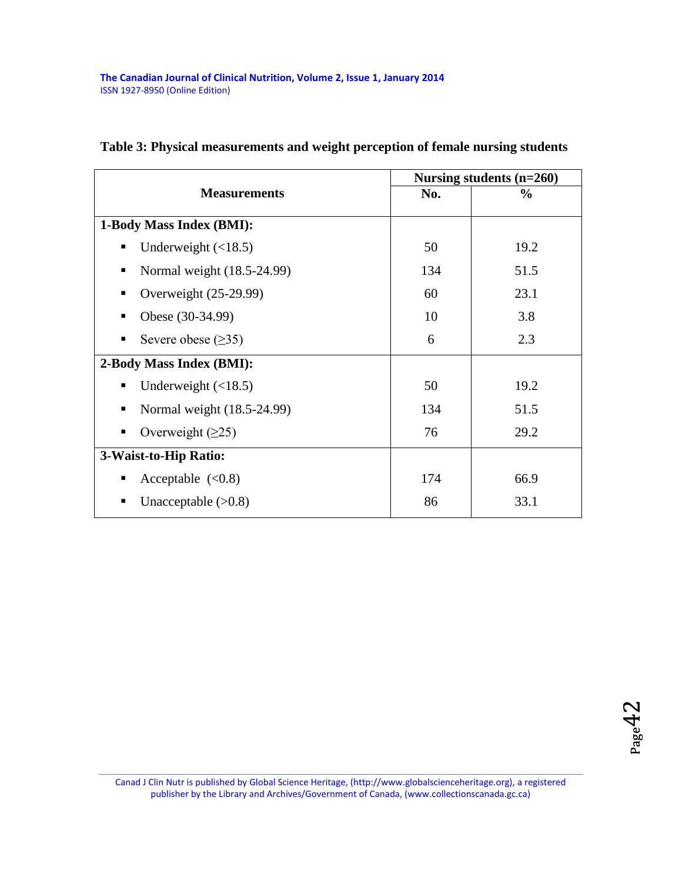|                                 |     | Nursing students $(n=260)$ |
|---------------------------------|-----|----------------------------|
| <b>Measurements</b>             | No. | $\%$                       |
| 1-Body Mass Index (BMI):        |     |                            |
| Underweight $(\langle 18.5)$    | 50  | 19.2                       |
| Normal weight (18.5-24.99)      | 134 | 51.5                       |
| Overweight (25-29.99)           | 60  | 23.1                       |
| Obese (30-34.99)                | 10  | 3.8                        |
| Severe obese $(\geq 35)$        | 6   | 2.3                        |
| 2-Body Mass Index (BMI):        |     |                            |
| Underweight $(\langle 18.5)$    | 50  | 19.2                       |
| Normal weight (18.5-24.99)<br>٠ | 134 | 51.5                       |
| Overweight $(≥25)$              | 76  | 29.2                       |
| 3-Waist-to-Hip Ratio:           |     |                            |
| Acceptable $(<0.8)$             | 174 | 66.9                       |
| Unacceptable $(>0.8)$           | 86  | 33.1                       |

## **Table 3: Physical measurements and weight perception of female nursing students**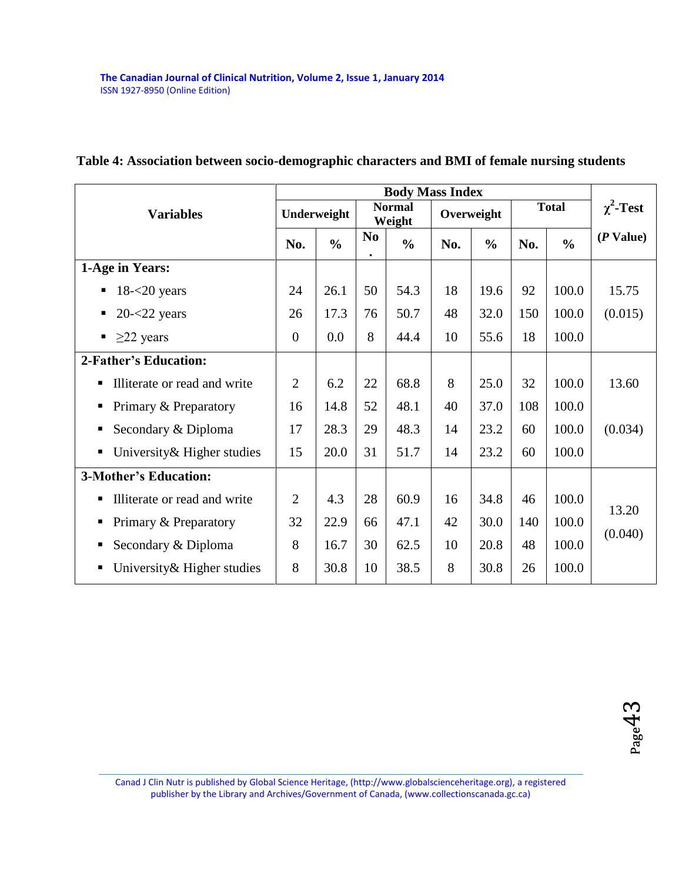| <b>Variables</b>                  |                | Underweight   |                             | <b>Normal</b><br>Weight | Overweight |               | <b>Total</b> |               | $\chi^2$ -Test |
|-----------------------------------|----------------|---------------|-----------------------------|-------------------------|------------|---------------|--------------|---------------|----------------|
|                                   | No.            | $\frac{0}{0}$ | N <sub>0</sub><br>$\bullet$ | $\frac{0}{0}$           | No.        | $\frac{6}{6}$ | No.          | $\frac{0}{0}$ | $(P$ Value)    |
| 1-Age in Years:                   |                |               |                             |                         |            |               |              |               |                |
| $18 - 20$ years<br>п              | 24             | 26.1          | 50                          | 54.3                    | 18         | 19.6          | 92           | 100.0         | 15.75          |
| $20 - 22$ years<br>٠              | 26             | 17.3          | 76                          | 50.7                    | 48         | 32.0          | 150          | 100.0         | (0.015)        |
| $\geq$ 22 years<br>٠              | $\overline{0}$ | 0.0           | 8                           | 44.4                    | 10         | 55.6          | 18           | 100.0         |                |
| 2-Father's Education:             |                |               |                             |                         |            |               |              |               |                |
| Illiterate or read and write<br>п | $\overline{2}$ | 6.2           | 22                          | 68.8                    | 8          | 25.0          | 32           | 100.0         | 13.60          |
| Primary & Preparatory<br>п        | 16             | 14.8          | 52                          | 48.1                    | 40         | 37.0          | 108          | 100.0         |                |
| Secondary & Diploma<br>п          | 17             | 28.3          | 29                          | 48.3                    | 14         | 23.2          | 60           | 100.0         | (0.034)        |
| University & Higher studies<br>п  | 15             | 20.0          | 31                          | 51.7                    | 14         | 23.2          | 60           | 100.0         |                |
| <b>3-Mother's Education:</b>      |                |               |                             |                         |            |               |              |               |                |
| Illiterate or read and write<br>п | $\overline{2}$ | 4.3           | 28                          | 60.9                    | 16         | 34.8          | 46           | 100.0         | 13.20          |
| Primary & Preparatory<br>п        | 32             | 22.9          | 66                          | 47.1                    | 42         | 30.0          | 140          | 100.0         |                |
| Secondary & Diploma<br>п          | 8              | 16.7          | 30                          | 62.5                    | 10         | 20.8          | 48           | 100.0         | (0.040)        |
| University & Higher studies<br>п  | 8              | 30.8          | 10                          | 38.5                    | 8          | 30.8          | 26           | 100.0         |                |

## **Table 4: Association between socio-demographic characters and BMI of female nursing students**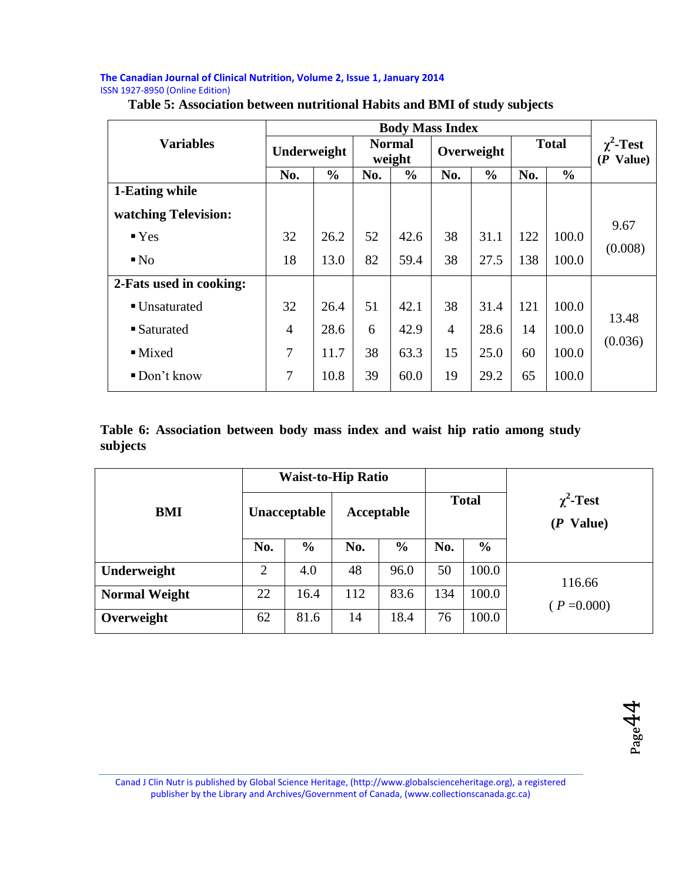|                         | <b>Body Mass Index</b> |               |                                       |               |                |               |                               |               |                 |
|-------------------------|------------------------|---------------|---------------------------------------|---------------|----------------|---------------|-------------------------------|---------------|-----------------|
| <b>Variables</b>        | Underweight            |               | <b>Normal</b><br>Overweight<br>weight |               | <b>Total</b>   |               | $\chi^2$ -Test<br>$(P$ Value) |               |                 |
|                         | No.                    | $\frac{0}{0}$ | No.                                   | $\frac{0}{0}$ | No.            | $\frac{0}{0}$ | No.                           | $\frac{6}{6}$ |                 |
| 1-Eating while          |                        |               |                                       |               |                |               |                               |               |                 |
| watching Television:    |                        |               |                                       |               |                |               |                               |               |                 |
| Yes                     | 32                     | 26.2          | 52                                    | 42.6          | 38             | 31.1          | 122                           | 100.0         | 9.67<br>(0.008) |
| $\blacksquare$ No       | 18                     | 13.0          | 82                                    | 59.4          | 38             | 27.5          | 138                           | 100.0         |                 |
| 2-Fats used in cooking: |                        |               |                                       |               |                |               |                               |               |                 |
| ■ Unsaturated           | 32                     | 26.4          | 51                                    | 42.1          | 38             | 31.4          | 121                           | 100.0         | 13.48           |
| ■ Saturated             | 4                      | 28.6          | 6                                     | 42.9          | $\overline{4}$ | 28.6          | 14                            | 100.0         | (0.036)         |
| $\blacksquare$ Mixed    | $\overline{7}$         | 11.7          | 38                                    | 63.3          | 15             | 25.0          | 60                            | 100.0         |                 |
| Don't know              | 7                      | 10.8          | 39                                    | 60.0          | 19             | 29.2          | 65                            | 100.0         |                 |

## **Table 5: Association between nutritional Habits and BMI of study subjects**

#### **Table 6: Association between body mass index and waist hip ratio among study subjects**

|                      | <b>Waist-to-Hip Ratio</b> |               |            |               |              |               |                                |
|----------------------|---------------------------|---------------|------------|---------------|--------------|---------------|--------------------------------|
| <b>BMI</b>           |                           | Unacceptable  | Acceptable |               | <b>Total</b> |               | $\chi^2$ -Test<br>Value)<br>(P |
|                      | No.                       | $\frac{0}{0}$ | No.        | $\frac{6}{9}$ | No.          | $\frac{6}{6}$ |                                |
| Underweight          | $\overline{2}$            | 4.0           | 48         | 96.0          | 50           | 100.0         | 116.66                         |
| <b>Normal Weight</b> | 22                        | 16.4          | 112        | 83.6          | 134          | 100.0         | $(P = 0.000)$                  |
| Overweight           | 62                        | 81.6          | 14         | 18.4          | 76           | 100.0         |                                |

Page44